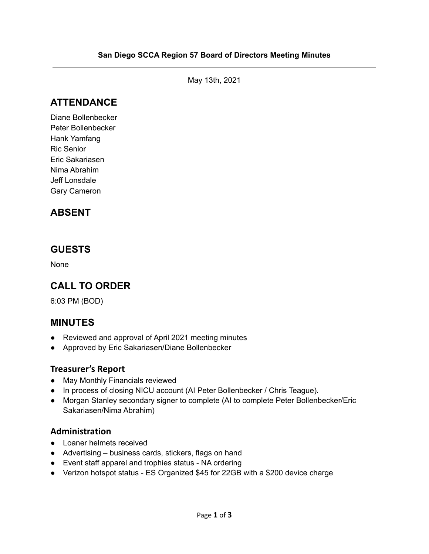May 13th, 2021

# **ATTENDANCE**

Diane Bollenbecker Peter Bollenbecker Hank Yamfang Ric Senior Eric Sakariasen Nima Abrahim Jeff Lonsdale Gary Cameron

## **ABSENT**

### **GUESTS**

None

## **CALL TO ORDER**

6:03 PM (BOD)

### **MINUTES**

- Reviewed and approval of April 2021 meeting minutes
- Approved by Eric Sakariasen/Diane Bollenbecker

#### **Treasurer's Report**

- May Monthly Financials reviewed
- In process of closing NICU account (AI Peter Bollenbecker / Chris Teague).
- Morgan Stanley secondary signer to complete (AI to complete Peter Bollenbecker/Eric Sakariasen/Nima Abrahim)

#### **Administration**

- Loaner helmets received
- Advertising business cards, stickers, flags on hand
- Event staff apparel and trophies status NA ordering
- Verizon hotspot status ES Organized \$45 for 22GB with a \$200 device charge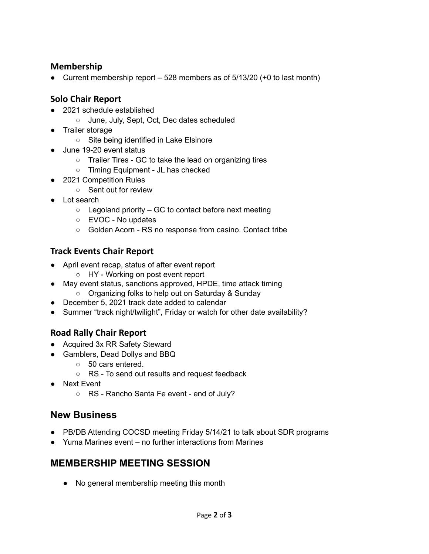#### **Membership**

• Current membership report  $-528$  members as of  $5/13/20$  (+0 to last month)

#### **Solo Chair Report**

- 2021 schedule established
	- June, July, Sept, Oct, Dec dates scheduled
- Trailer storage
	- Site being identified in Lake Elsinore
- June 19-20 event status
	- Trailer Tires GC to take the lead on organizing tires
	- Timing Equipment JL has checked
- 2021 Competition Rules
	- Sent out for review
- Lot search
	- $\circ$  Legoland priority GC to contact before next meeting
	- EVOC No updates
	- Golden Acorn RS no response from casino. Contact tribe

#### **Track Events Chair Report**

- April event recap, status of after event report
	- HY Working on post event report
- May event status, sanctions approved, HPDE, time attack timing
	- Organizing folks to help out on Saturday & Sunday
- December 5, 2021 track date added to calendar
- Summer "track night/twilight", Friday or watch for other date availability?

#### **Road Rally Chair Report**

- Acquired 3x RR Safety Steward
- Gamblers, Dead Dollys and BBQ
	- 50 cars entered.
	- RS To send out results and request feedback
- Next Event
	- RS Rancho Santa Fe event end of July?

### **New Business**

- PB/DB Attending COCSD meeting Friday 5/14/21 to talk about SDR programs
- Yuma Marines event no further interactions from Marines

### **MEMBERSHIP MEETING SESSION**

● No general membership meeting this month